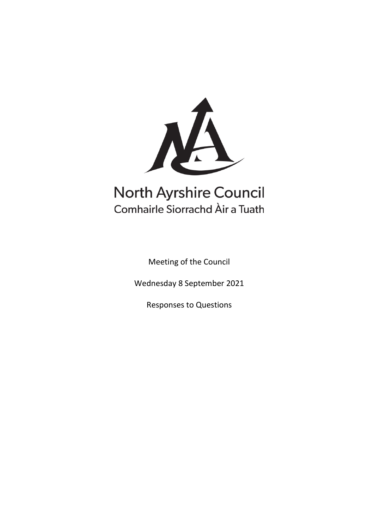

# **North Ayrshire Council** Comhairle Siorrachd Àir a Tuath

Meeting of the Council

Wednesday 8 September 2021

Responses to Questions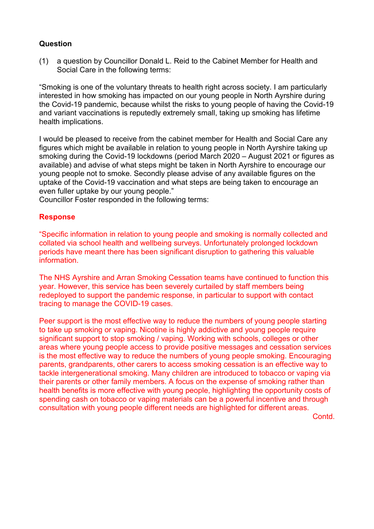(1) a question by Councillor Donald L. Reid to the Cabinet Member for Health and Social Care in the following terms:

"Smoking is one of the voluntary threats to health right across society. I am particularly interested in how smoking has impacted on our young people in North Ayrshire during the Covid-19 pandemic, because whilst the risks to young people of having the Covid-19 and variant vaccinations is reputedly extremely small, taking up smoking has lifetime health implications.

I would be pleased to receive from the cabinet member for Health and Social Care any figures which might be available in relation to young people in North Ayrshire taking up smoking during the Covid-19 lockdowns (period March 2020 – August 2021 or figures as available) and advise of what steps might be taken in North Ayrshire to encourage our young people not to smoke. Secondly please advise of any available figures on the uptake of the Covid-19 vaccination and what steps are being taken to encourage an even fuller uptake by our young people."

Councillor Foster responded in the following terms:

# **Response**

"Specific information in relation to young people and smoking is normally collected and collated via school health and wellbeing surveys. Unfortunately prolonged lockdown periods have meant there has been significant disruption to gathering this valuable information.

The NHS Ayrshire and Arran Smoking Cessation teams have continued to function this year. However, this service has been severely curtailed by staff members being redeployed to support the pandemic response, in particular to support with contact tracing to manage the COVID-19 cases.

Peer support is the most effective way to reduce the numbers of young people starting to take up smoking or vaping. Nicotine is highly addictive and young people require significant support to stop smoking / vaping. Working with schools, colleges or other areas where young people access to provide positive messages and cessation services is the most effective way to reduce the numbers of young people smoking. Encouraging parents, grandparents, other carers to access smoking cessation is an effective way to tackle intergenerational smoking. Many children are introduced to tobacco or vaping via their parents or other family members. A focus on the expense of smoking rather than health benefits is more effective with young people, highlighting the opportunity costs of spending cash on tobacco or vaping materials can be a powerful incentive and through consultation with young people different needs are highlighted for different areas.

Contd.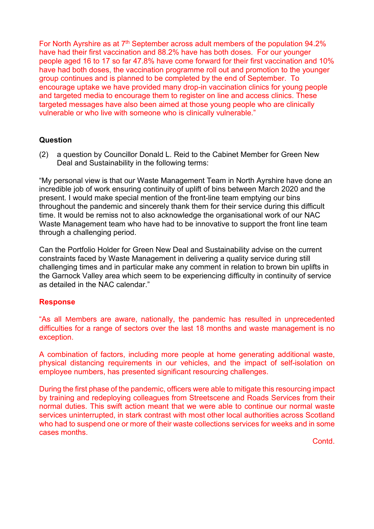For North Ayrshire as at  $7<sup>th</sup>$  September across adult members of the population 94.2% have had their first vaccination and 88.2% have has both doses. For our younger people aged 16 to 17 so far 47.8% have come forward for their first vaccination and 10% have had both doses, the vaccination programme roll out and promotion to the younger group continues and is planned to be completed by the end of September. To encourage uptake we have provided many drop-in vaccination clinics for young people and targeted media to encourage them to register on line and access clinics. These targeted messages have also been aimed at those young people who are clinically vulnerable or who live with someone who is clinically vulnerable."

# **Question**

(2) a question by Councillor Donald L. Reid to the Cabinet Member for Green New Deal and Sustainability in the following terms:

"My personal view is that our Waste Management Team in North Ayrshire have done an incredible job of work ensuring continuity of uplift of bins between March 2020 and the present. I would make special mention of the front-line team emptying our bins throughout the pandemic and sincerely thank them for their service during this difficult time. It would be remiss not to also acknowledge the organisational work of our NAC Waste Management team who have had to be innovative to support the front line team through a challenging period.

Can the Portfolio Holder for Green New Deal and Sustainability advise on the current constraints faced by Waste Management in delivering a quality service during still challenging times and in particular make any comment in relation to brown bin uplifts in the Garnock Valley area which seem to be experiencing difficulty in continuity of service as detailed in the NAC calendar."

#### **Response**

"As all Members are aware, nationally, the pandemic has resulted in unprecedented difficulties for a range of sectors over the last 18 months and waste management is no exception.

A combination of factors, including more people at home generating additional waste, physical distancing requirements in our vehicles, and the impact of self-isolation on employee numbers, has presented significant resourcing challenges.

During the first phase of the pandemic, officers were able to mitigate this resourcing impact by training and redeploying colleagues from Streetscene and Roads Services from their normal duties. This swift action meant that we were able to continue our normal waste services uninterrupted, in stark contrast with most other local authorities across Scotland who had to suspend one or more of their waste collections services for weeks and in some cases months.

**Contd**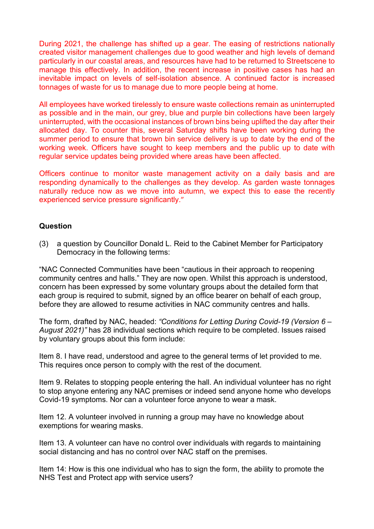During 2021, the challenge has shifted up a gear. The easing of restrictions nationally created visitor management challenges due to good weather and high levels of demand particularly in our coastal areas, and resources have had to be returned to Streetscene to manage this effectively. In addition, the recent increase in positive cases has had an inevitable impact on levels of self-isolation absence. A continued factor is increased tonnages of waste for us to manage due to more people being at home.

All employees have worked tirelessly to ensure waste collections remain as uninterrupted as possible and in the main, our grey, blue and purple bin collections have been largely uninterrupted, with the occasional instances of brown bins being uplifted the day after their allocated day. To counter this, several Saturday shifts have been working during the summer period to ensure that brown bin service delivery is up to date by the end of the working week. Officers have sought to keep members and the public up to date with regular service updates being provided where areas have been affected.

Officers continue to monitor waste management activity on a daily basis and are responding dynamically to the challenges as they develop. As garden waste tonnages naturally reduce now as we move into autumn, we expect this to ease the recently experienced service pressure significantly."

# **Question**

(3) a question by Councillor Donald L. Reid to the Cabinet Member for Participatory Democracy in the following terms:

"NAC Connected Communities have been "cautious in their approach to reopening community centres and halls." They are now open. Whilst this approach is understood, concern has been expressed by some voluntary groups about the detailed form that each group is required to submit, signed by an office bearer on behalf of each group, before they are allowed to resume activities in NAC community centres and halls.

The form, drafted by NAC, headed: *"Conditions for Letting During Covid-19 (Version 6 – August 2021)"* has 28 individual sections which require to be completed. Issues raised by voluntary groups about this form include:

Item 8. I have read, understood and agree to the general terms of let provided to me. This requires once person to comply with the rest of the document.

Item 9. Relates to stopping people entering the hall. An individual volunteer has no right to stop anyone entering any NAC premises or indeed send anyone home who develops Covid-19 symptoms. Nor can a volunteer force anyone to wear a mask.

Item 12. A volunteer involved in running a group may have no knowledge about exemptions for wearing masks.

Item 13. A volunteer can have no control over individuals with regards to maintaining social distancing and has no control over NAC staff on the premises.

Item 14: How is this one individual who has to sign the form, the ability to promote the NHS Test and Protect app with service users?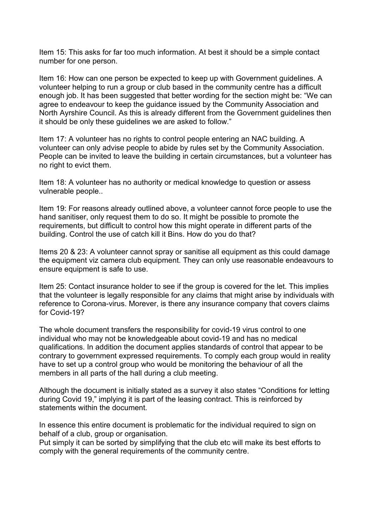Item 15: This asks for far too much information. At best it should be a simple contact number for one person.

Item 16: How can one person be expected to keep up with Government guidelines. A volunteer helping to run a group or club based in the community centre has a difficult enough job. It has been suggested that better wording for the section might be: "We can agree to endeavour to keep the guidance issued by the Community Association and North Ayrshire Council. As this is already different from the Government guidelines then it should be only these guidelines we are asked to follow."

Item 17: A volunteer has no rights to control people entering an NAC building. A volunteer can only advise people to abide by rules set by the Community Association. People can be invited to leave the building in certain circumstances, but a volunteer has no right to evict them.

Item 18: A volunteer has no authority or medical knowledge to question or assess vulnerable people..

Item 19: For reasons already outlined above, a volunteer cannot force people to use the hand sanitiser, only request them to do so. It might be possible to promote the requirements, but difficult to control how this might operate in different parts of the building. Control the use of catch kill it Bins. How do you do that?

Items 20 & 23: A volunteer cannot spray or sanitise all equipment as this could damage the equipment viz camera club equipment. They can only use reasonable endeavours to ensure equipment is safe to use.

Item 25: Contact insurance holder to see if the group is covered for the let. This implies that the volunteer is legally responsible for any claims that might arise by individuals with reference to Corona-virus. Morever, is there any insurance company that covers claims for Covid-19?

The whole document transfers the responsibility for covid-19 virus control to one individual who may not be knowledgeable about covid-19 and has no medical qualifications. In addition the document applies standards of control that appear to be contrary to government expressed requirements. To comply each group would in reality have to set up a control group who would be monitoring the behaviour of all the members in all parts of the hall during a club meeting.

Although the document is initially stated as a survey it also states "Conditions for letting during Covid 19," implying it is part of the leasing contract. This is reinforced by statements within the document.

In essence this entire document is problematic for the individual required to sign on behalf of a club, group or organisation.

Put simply it can be sorted by simplifying that the club etc will make its best efforts to comply with the general requirements of the community centre.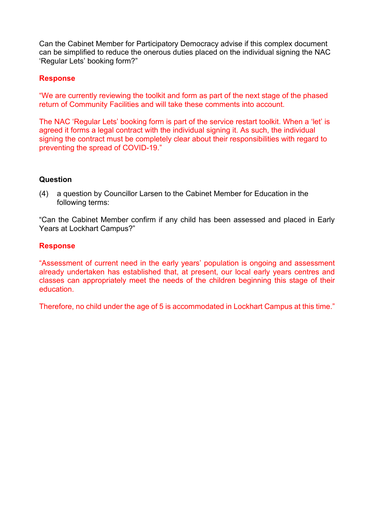Can the Cabinet Member for Participatory Democracy advise if this complex document can be simplified to reduce the onerous duties placed on the individual signing the NAC 'Regular Lets' booking form?"

# **Response**

"We are currently reviewing the toolkit and form as part of the next stage of the phased return of Community Facilities and will take these comments into account.

The NAC 'Regular Lets' booking form is part of the service restart toolkit. When a 'let' is agreed it forms a legal contract with the individual signing it. As such, the individual signing the contract must be completely clear about their responsibilities with regard to preventing the spread of COVID-19."

# **Question**

(4) a question by Councillor Larsen to the Cabinet Member for Education in the following terms:

"Can the Cabinet Member confirm if any child has been assessed and placed in Early Years at Lockhart Campus?"

# **Response**

"Assessment of current need in the early years' population is ongoing and assessment already undertaken has established that, at present, our local early years centres and classes can appropriately meet the needs of the children beginning this stage of their education.

Therefore, no child under the age of 5 is accommodated in Lockhart Campus at this time."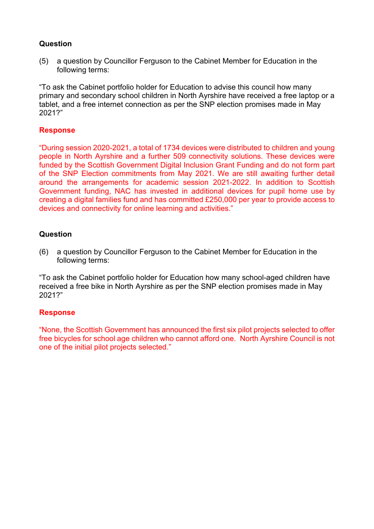(5) a question by Councillor Ferguson to the Cabinet Member for Education in the following terms:

"To ask the Cabinet portfolio holder for Education to advise this council how many primary and secondary school children in North Ayrshire have received a free laptop or a tablet, and a free internet connection as per the SNP election promises made in May 2021?"

#### **Response**

"During session 2020-2021, a total of 1734 devices were distributed to children and young people in North Ayrshire and a further 509 connectivity solutions. These devices were funded by the Scottish Government Digital Inclusion Grant Funding and do not form part of the SNP Election commitments from May 2021. We are still awaiting further detail around the arrangements for academic session 2021-2022. In addition to Scottish Government funding, NAC has invested in additional devices for pupil home use by creating a digital families fund and has committed £250,000 per year to provide access to devices and connectivity for online learning and activities."

#### **Question**

(6) a question by Councillor Ferguson to the Cabinet Member for Education in the following terms:

"To ask the Cabinet portfolio holder for Education how many school-aged children have received a free bike in North Ayrshire as per the SNP election promises made in May 2021?"

# **Response**

"None, the Scottish Government has announced the first six pilot projects selected to offer free bicycles for school age children who cannot afford one. North Ayrshire Council is not one of the initial pilot projects selected."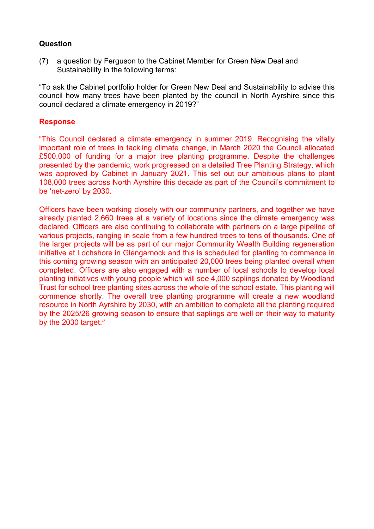(7) a question by Ferguson to the Cabinet Member for Green New Deal and Sustainability in the following terms:

"To ask the Cabinet portfolio holder for Green New Deal and Sustainability to advise this council how many trees have been planted by the council in North Ayrshire since this council declared a climate emergency in 2019?"

#### **Response**

"This Council declared a climate emergency in summer 2019. Recognising the vitally important role of trees in tackling climate change, in March 2020 the Council allocated £500,000 of funding for a major tree planting programme. Despite the challenges presented by the pandemic, work progressed on a detailed Tree Planting Strategy, which was approved by Cabinet in January 2021. This set out our ambitious plans to plant 108,000 trees across North Ayrshire this decade as part of the Council's commitment to be 'net-zero' by 2030.

Officers have been working closely with our community partners, and together we have already planted 2,660 trees at a variety of locations since the climate emergency was declared. Officers are also continuing to collaborate with partners on a large pipeline of various projects, ranging in scale from a few hundred trees to tens of thousands. One of the larger projects will be as part of our major Community Wealth Building regeneration initiative at Lochshore in Glengarnock and this is scheduled for planting to commence in this coming growing season with an anticipated 20,000 trees being planted overall when completed. Officers are also engaged with a number of local schools to develop local planting initiatives with young people which will see 4,000 saplings donated by Woodland Trust for school tree planting sites across the whole of the school estate. This planting will commence shortly. The overall tree planting programme will create a new woodland resource in North Ayrshire by 2030, with an ambition to complete all the planting required by the 2025/26 growing season to ensure that saplings are well on their way to maturity by the 2030 target."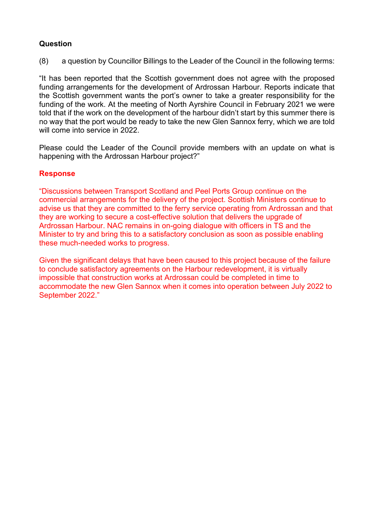(8) a question by Councillor Billings to the Leader of the Council in the following terms:

"It has been reported that the Scottish government does not agree with the proposed funding arrangements for the development of Ardrossan Harbour. Reports indicate that the Scottish government wants the port's owner to take a greater responsibility for the funding of the work. At the meeting of North Ayrshire Council in February 2021 we were told that if the work on the development of the harbour didn't start by this summer there is no way that the port would be ready to take the new Glen Sannox ferry, which we are told will come into service in 2022.

Please could the Leader of the Council provide members with an update on what is happening with the Ardrossan Harbour project?"

# **Response**

"Discussions between Transport Scotland and Peel Ports Group continue on the commercial arrangements for the delivery of the project. Scottish Ministers continue to advise us that they are committed to the ferry service operating from Ardrossan and that they are working to secure a cost-effective solution that delivers the upgrade of Ardrossan Harbour. NAC remains in on-going dialogue with officers in TS and the Minister to try and bring this to a satisfactory conclusion as soon as possible enabling these much-needed works to progress.

Given the significant delays that have been caused to this project because of the failure to conclude satisfactory agreements on the Harbour redevelopment, it is virtually impossible that construction works at Ardrossan could be completed in time to accommodate the new Glen Sannox when it comes into operation between July 2022 to September 2022."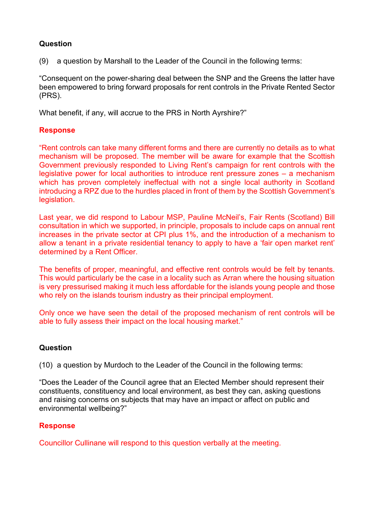(9) a question by Marshall to the Leader of the Council in the following terms:

"Consequent on the power-sharing deal between the SNP and the Greens the latter have been empowered to bring forward proposals for rent controls in the Private Rented Sector (PRS).

What benefit, if any, will accrue to the PRS in North Ayrshire?"

#### **Response**

"Rent controls can take many different forms and there are currently no details as to what mechanism will be proposed. The member will be aware for example that the Scottish Government previously responded to Living Rent's campaign for rent controls with the legislative power for local authorities to introduce rent pressure zones – a mechanism which has proven completely ineffectual with not a single local authority in Scotland introducing a RPZ due to the hurdles placed in front of them by the Scottish Government's legislation.

Last year, we did respond to Labour MSP, Pauline McNeil's, Fair Rents (Scotland) Bill consultation in which we supported, in principle, proposals to include caps on annual rent increases in the private sector at CPI plus 1%, and the introduction of a mechanism to allow a tenant in a private residential tenancy to apply to have a 'fair open market rent' determined by a Rent Officer.

The benefits of proper, meaningful, and effective rent controls would be felt by tenants. This would particularly be the case in a locality such as Arran where the housing situation is very pressurised making it much less affordable for the islands young people and those who rely on the islands tourism industry as their principal employment.

Only once we have seen the detail of the proposed mechanism of rent controls will be able to fully assess their impact on the local housing market."

# **Question**

(10) a question by Murdoch to the Leader of the Council in the following terms:

"Does the Leader of the Council agree that an Elected Member should represent their constituents, constituency and local environment, as best they can, asking questions and raising concerns on subjects that may have an impact or affect on public and environmental wellbeing?"

# **Response**

Councillor Cullinane will respond to this question verbally at the meeting.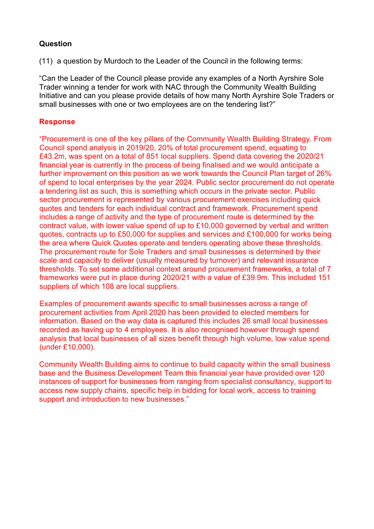(11) a question by Murdoch to the Leader of the Council in the following terms:

"Can the Leader of the Council please provide any examples of a North Ayrshire Sole Trader winning a tender for work with NAC through the Community Wealth Building Initiative and can you please provide details of how many North Ayrshire Sole Traders or small businesses with one or two employees are on the tendering list?"

# **Response**

"Procurement is one of the key pillars of the Community Wealth Building Strategy. From Council spend analysis in 2019/20, 20% of total procurement spend, equating to £43.2m, was spent on a total of 851 local suppliers. Spend data covering the 2020/21 financial year is currently in the process of being finalised and we would anticipate a further improvement on this position as we work towards the Council Plan target of 26% of spend to local enterprises by the year 2024. Public sector procurement do not operate a tendering list as such, this is something which occurs in the private sector. Public sector procurement is represented by various procurement exercises including quick quotes and tenders for each individual contract and framework. Procurement spend includes a range of activity and the type of procurement route is determined by the contract value, with lower value spend of up to £10,000 governed by verbal and written quotes, contracts up to £50,000 for supplies and services and £100,000 for works being the area where Quick Quotes operate and tenders operating above these thresholds. The procurement route for Sole Traders and small businesses is determined by their scale and capacity to deliver (usually measured by turnover) and relevant insurance thresholds. To set some additional context around procurement frameworks, a total of 7 frameworks were put in place during 2020/21 with a value of £39.9m. This included 151 suppliers of which 108 are local suppliers.

Examples of procurement awards specific to small businesses across a range of procurement activities from April 2020 has been provided to elected members for information. Based on the way data is captured this includes 26 small local businesses recorded as having up to 4 employees. It is also recognised however through spend analysis that local businesses of all sizes benefit through high volume, low value spend (under £10,000).

Community Wealth Building aims to continue to build capacity within the small business base and the Business Development Team this financial year have provided over 120 instances of support for businesses from ranging from specialist consultancy, support to access new supply chains, specific help in bidding for local work, access to training support and introduction to new businesses."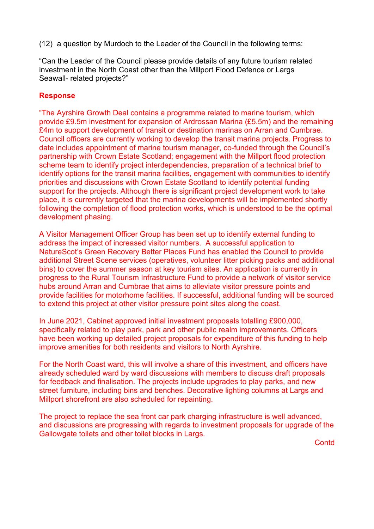(12) a question by Murdoch to the Leader of the Council in the following terms:

"Can the Leader of the Council please provide details of any future tourism related investment in the North Coast other than the Millport Flood Defence or Largs Seawall- related projects?"

# **Response**

"The Ayrshire Growth Deal contains a programme related to marine tourism, which provide £9.5m investment for expansion of Ardrossan Marina (£5.5m) and the remaining £4m to support development of transit or destination marinas on Arran and Cumbrae. Council officers are currently working to develop the transit marina projects. Progress to date includes appointment of marine tourism manager, co-funded through the Council's partnership with Crown Estate Scotland; engagement with the Millport flood protection scheme team to identify project interdependencies, preparation of a technical brief to identify options for the transit marina facilities, engagement with communities to identify priorities and discussions with Crown Estate Scotland to identify potential funding support for the projects. Although there is significant project development work to take place, it is currently targeted that the marina developments will be implemented shortly following the completion of flood protection works, which is understood to be the optimal development phasing.

A Visitor Management Officer Group has been set up to identify external funding to address the impact of increased visitor numbers. A successful application to NatureScot's Green Recovery Better Places Fund has enabled the Council to provide additional Street Scene services (operatives, volunteer litter picking packs and additional bins) to cover the summer season at key tourism sites. An application is currently in progress to the Rural Tourism Infrastructure Fund to provide a network of visitor service hubs around Arran and Cumbrae that aims to alleviate visitor pressure points and provide facilities for motorhome facilities. If successful, additional funding will be sourced to extend this project at other visitor pressure point sites along the coast.

In June 2021, Cabinet approved initial investment proposals totalling £900,000, specifically related to play park, park and other public realm improvements. Officers have been working up detailed project proposals for expenditure of this funding to help improve amenities for both residents and visitors to North Ayrshire.

For the North Coast ward, this will involve a share of this investment, and officers have already scheduled ward by ward discussions with members to discuss draft proposals for feedback and finalisation. The projects include upgrades to play parks, and new street furniture, including bins and benches. Decorative lighting columns at Largs and Millport shorefront are also scheduled for repainting.

The project to replace the sea front car park charging infrastructure is well advanced, and discussions are progressing with regards to investment proposals for upgrade of the Gallowgate toilets and other toilet blocks in Largs.

**Contd**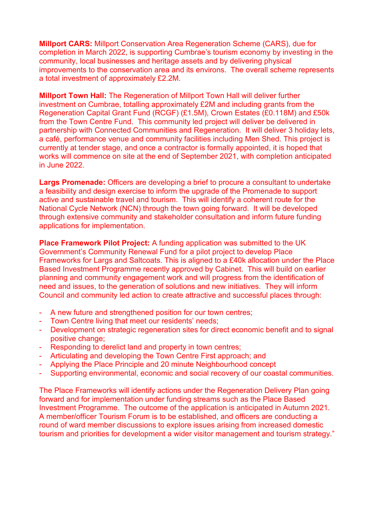**Millport CARS:** Millport Conservation Area Regeneration Scheme (CARS), due for completion in March 2022, is supporting Cumbrae's tourism economy by investing in the community, local businesses and heritage assets and by delivering physical improvements to the conservation area and its environs. The overall scheme represents a total investment of approximately £2.2M.

**Millport Town Hall:** The Regeneration of Millport Town Hall will deliver further investment on Cumbrae, totalling approximately £2M and including grants from the Regeneration Capital Grant Fund (RCGF) (£1.5M), Crown Estates (£0.118M) and £50k from the Town Centre Fund. This community led project will deliver be delivered in partnership with Connected Communities and Regeneration. It will deliver 3 holiday lets, a café, performance venue and community facilities including Men Shed. This project is currently at tender stage, and once a contractor is formally appointed, it is hoped that works will commence on site at the end of September 2021, with completion anticipated in June 2022.

**Largs Promenade:** Officers are developing a brief to procure a consultant to undertake a feasibility and design exercise to inform the upgrade of the Promenade to support active and sustainable travel and tourism. This will identify a coherent route for the National Cycle Network (NCN) through the town going forward. It will be developed through extensive community and stakeholder consultation and inform future funding applications for implementation.

**Place Framework Pilot Project:** A funding application was submitted to the UK Government's Community Renewal Fund for a pilot project to develop Place Frameworks for Largs and Saltcoats. This is aligned to a £40k allocation under the Place Based Investment Programme recently approved by Cabinet. This will build on earlier planning and community engagement work and will progress from the identification of need and issues, to the generation of solutions and new initiatives. They will inform Council and community led action to create attractive and successful places through:

- A new future and strengthened position for our town centres;
- Town Centre living that meet our residents' needs;
- Development on strategic regeneration sites for direct economic benefit and to signal positive change;
- Responding to derelict land and property in town centres;
- Articulating and developing the Town Centre First approach; and
- Applying the Place Principle and 20 minute Neighbourhood concept
- Supporting environmental, economic and social recovery of our coastal communities.

The Place Frameworks will identify actions under the Regeneration Delivery Plan going forward and for implementation under funding streams such as the Place Based Investment Programme. The outcome of the application is anticipated in Autumn 2021. A member/officer Tourism Forum is to be established, and officers are conducting a round of ward member discussions to explore issues arising from increased domestic tourism and priorities for development a wider visitor management and tourism strategy."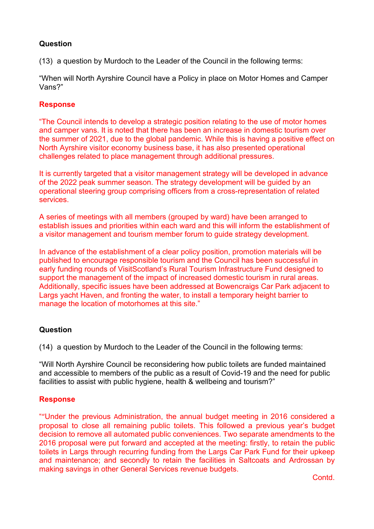(13) a question by Murdoch to the Leader of the Council in the following terms:

"When will North Ayrshire Council have a Policy in place on Motor Homes and Camper Vans?"

#### **Response**

"The Council intends to develop a strategic position relating to the use of motor homes and camper vans. It is noted that there has been an increase in domestic tourism over the summer of 2021, due to the global pandemic. While this is having a positive effect on North Ayrshire visitor economy business base, it has also presented operational challenges related to place management through additional pressures.

It is currently targeted that a visitor management strategy will be developed in advance of the 2022 peak summer season. The strategy development will be guided by an operational steering group comprising officers from a cross-representation of related services.

A series of meetings with all members (grouped by ward) have been arranged to establish issues and priorities within each ward and this will inform the establishment of a visitor management and tourism member forum to guide strategy development.

In advance of the establishment of a clear policy position, promotion materials will be published to encourage responsible tourism and the Council has been successful in early funding rounds of VisitScotland's Rural Tourism Infrastructure Fund designed to support the management of the impact of increased domestic tourism in rural areas. Additionally, specific issues have been addressed at Bowencraigs Car Park adjacent to Largs yacht Haven, and fronting the water, to install a temporary height barrier to manage the location of motorhomes at this site."

# **Question**

(14) a question by Murdoch to the Leader of the Council in the following terms:

"Will North Ayrshire Council be reconsidering how public toilets are funded maintained and accessible to members of the public as a result of Covid-19 and the need for public facilities to assist with public hygiene, health & wellbeing and tourism?"

#### **Response**

""Under the previous Administration, the annual budget meeting in 2016 considered a proposal to close all remaining public toilets. This followed a previous year's budget decision to remove all automated public conveniences. Two separate amendments to the 2016 proposal were put forward and accepted at the meeting: firstly, to retain the public toilets in Largs through recurring funding from the Largs Car Park Fund for their upkeep and maintenance; and secondly to retain the facilities in Saltcoats and Ardrossan by making savings in other General Services revenue budgets.

Contd.